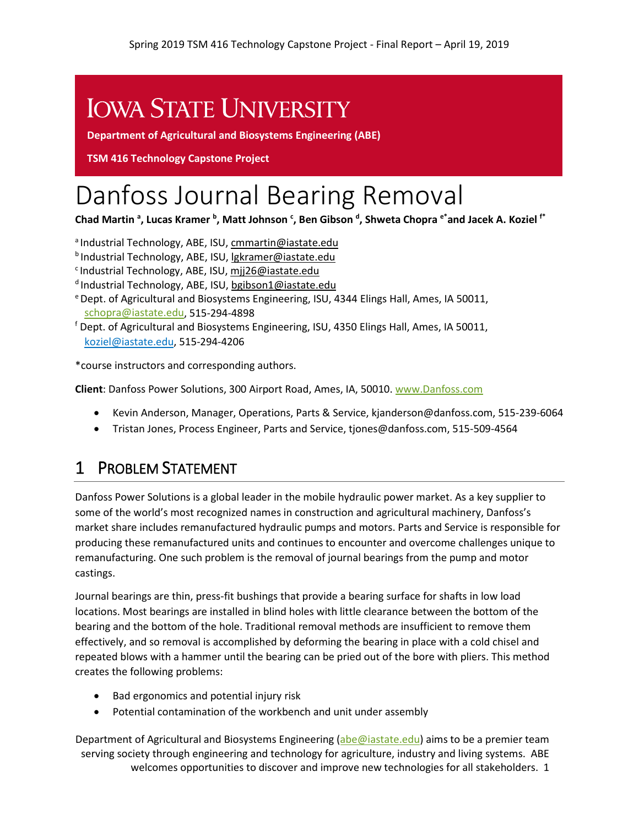# **IOWA STATE UNIVERSITY**

**Department of Agricultural and Biosystems Engineering (ABE)**

**TSM 416 Technology Capstone Project** 

# Danfoss Journal Bearing Removal

**Chad Martin <sup>a</sup> , Lucas Kramer <sup>b</sup> , Matt Johnson <sup>c</sup> , Ben Gibson <sup>d</sup> , Shweta Chopra e\*and Jacek A. Koziel f\***

a Industrial Technology, ABE, ISU, [cmmartin@iastate.edu](mailto:cmmartin@iastate.edu)

- b Industrial Technology, ABE, ISU[, lgkramer@iastate.edu](mailto:lgkramer@iastate.edu)
- c Industrial Technology, ABE, ISU, [mjj26@iastate.edu](mailto:mjj26@iastate.edu)
- <sup>d</sup> Industrial Technology, ABE, ISU[, bgibson1@iastate.edu](mailto:bgibson1@iastate.edu)
- e Dept. of Agricultural and Biosystems Engineering, ISU, 4344 Elings Hall, Ames, IA 50011, [schopra@iastate.edu,](mailto:schopra@iastate.edu) 515-294-4898
- <sup>f</sup> Dept. of Agricultural and Biosystems Engineering, ISU, 4350 Elings Hall, Ames, IA 50011, [koziel@iastate.edu,](mailto:koziel@iastate.edu) 515-294-4206

\*course instructors and corresponding authors.

**Client**: Danfoss Power Solutions, 300 Airport Road, Ames, IA, 50010. [www.Danfoss.com](https://www.danfoss.com/en-us/about-danfoss/our-businesses/power-solutions/)

- Kevin Anderson, Manager, Operations, Parts & Service, kjanderson@danfoss.com, 515-239-6064
- Tristan Jones, Process Engineer, Parts and Service, tjones@danfoss.com, 515-509-4564

#### 1 PROBLEM STATEMENT

Danfoss Power Solutions is a global leader in the mobile hydraulic power market. As a key supplier to some of the world's most recognized names in construction and agricultural machinery, Danfoss's market share includes remanufactured hydraulic pumps and motors. Parts and Service is responsible for producing these remanufactured units and continues to encounter and overcome challenges unique to remanufacturing. One such problem is the removal of journal bearings from the pump and motor castings.

Journal bearings are thin, press-fit bushings that provide a bearing surface for shafts in low load locations. Most bearings are installed in blind holes with little clearance between the bottom of the bearing and the bottom of the hole. Traditional removal methods are insufficient to remove them effectively, and so removal is accomplished by deforming the bearing in place with a cold chisel and repeated blows with a hammer until the bearing can be pried out of the bore with pliers. This method creates the following problems:

- Bad ergonomics and potential injury risk
- Potential contamination of the workbench and unit under assembly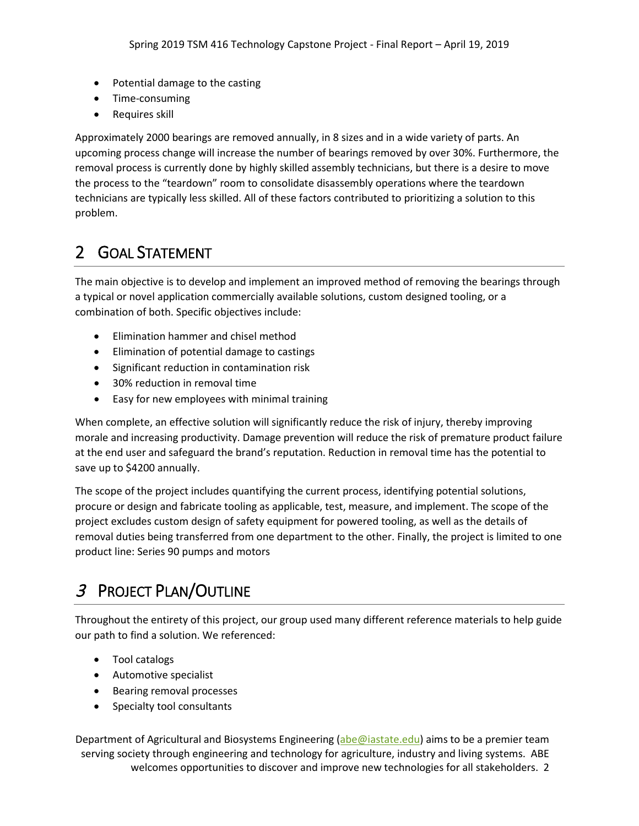- Potential damage to the casting
- Time-consuming
- Requires skill

Approximately 2000 bearings are removed annually, in 8 sizes and in a wide variety of parts. An upcoming process change will increase the number of bearings removed by over 30%. Furthermore, the removal process is currently done by highly skilled assembly technicians, but there is a desire to move the process to the "teardown" room to consolidate disassembly operations where the teardown technicians are typically less skilled. All of these factors contributed to prioritizing a solution to this problem.

#### 2 GOAL STATEMENT

The main objective is to develop and implement an improved method of removing the bearings through a typical or novel application commercially available solutions, custom designed tooling, or a combination of both. Specific objectives include:

- Elimination hammer and chisel method
- Elimination of potential damage to castings
- Significant reduction in contamination risk
- 30% reduction in removal time
- Easy for new employees with minimal training

When complete, an effective solution will significantly reduce the risk of injury, thereby improving morale and increasing productivity. Damage prevention will reduce the risk of premature product failure at the end user and safeguard the brand's reputation. Reduction in removal time has the potential to save up to \$4200 annually.

The scope of the project includes quantifying the current process, identifying potential solutions, procure or design and fabricate tooling as applicable, test, measure, and implement. The scope of the project excludes custom design of safety equipment for powered tooling, as well as the details of removal duties being transferred from one department to the other. Finally, the project is limited to one product line: Series 90 pumps and motors

## <sup>3</sup> PROJECT PLAN/OUTLINE

Throughout the entirety of this project, our group used many different reference materials to help guide our path to find a solution. We referenced:

- Tool catalogs
- Automotive specialist
- Bearing removal processes
- Specialty tool consultants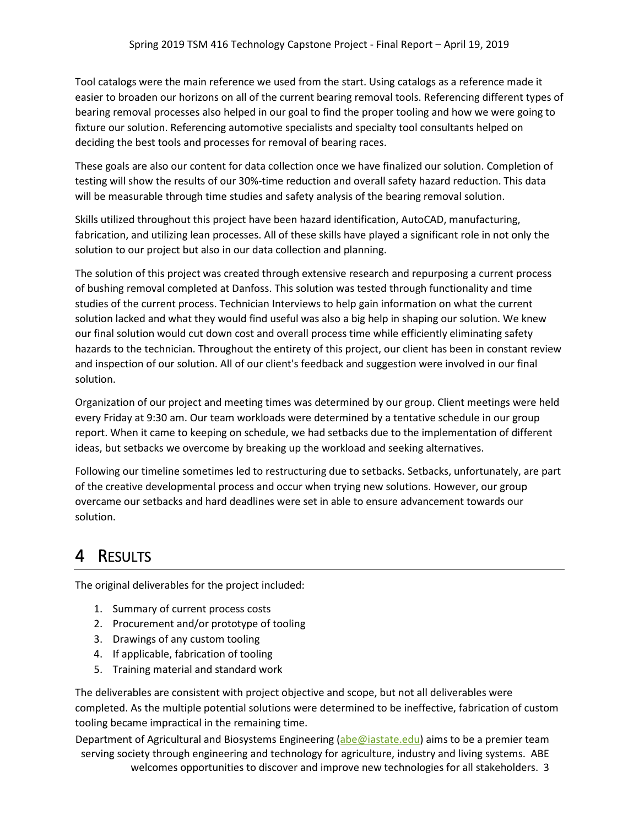Tool catalogs were the main reference we used from the start. Using catalogs as a reference made it easier to broaden our horizons on all of the current bearing removal tools. Referencing different types of bearing removal processes also helped in our goal to find the proper tooling and how we were going to fixture our solution. Referencing automotive specialists and specialty tool consultants helped on deciding the best tools and processes for removal of bearing races.

These goals are also our content for data collection once we have finalized our solution. Completion of testing will show the results of our 30%-time reduction and overall safety hazard reduction. This data will be measurable through time studies and safety analysis of the bearing removal solution.

Skills utilized throughout this project have been hazard identification, AutoCAD, manufacturing, fabrication, and utilizing lean processes. All of these skills have played a significant role in not only the solution to our project but also in our data collection and planning.

The solution of this project was created through extensive research and repurposing a current process of bushing removal completed at Danfoss. This solution was tested through functionality and time studies of the current process. Technician Interviews to help gain information on what the current solution lacked and what they would find useful was also a big help in shaping our solution. We knew our final solution would cut down cost and overall process time while efficiently eliminating safety hazards to the technician. Throughout the entirety of this project, our client has been in constant review and inspection of our solution. All of our client's feedback and suggestion were involved in our final solution.

Organization of our project and meeting times was determined by our group. Client meetings were held every Friday at 9:30 am. Our team workloads were determined by a tentative schedule in our group report. When it came to keeping on schedule, we had setbacks due to the implementation of different ideas, but setbacks we overcome by breaking up the workload and seeking alternatives.

Following our timeline sometimes led to restructuring due to setbacks. Setbacks, unfortunately, are part of the creative developmental process and occur when trying new solutions. However, our group overcame our setbacks and hard deadlines were set in able to ensure advancement towards our solution.

### 4 RESULTS

The original deliverables for the project included:

- 1. Summary of current process costs
- 2. Procurement and/or prototype of tooling
- 3. Drawings of any custom tooling
- 4. If applicable, fabrication of tooling
- 5. Training material and standard work

The deliverables are consistent with project objective and scope, but not all deliverables were completed. As the multiple potential solutions were determined to be ineffective, fabrication of custom tooling became impractical in the remaining time.

Department of Agricultural and Biosystems Engineering [\(abe@iastate.edu\)](mailto:abe@iastate.edu) aims to be a premier team serving society through engineering and technology for agriculture, industry and living systems. ABE

welcomes opportunities to discover and improve new technologies for all stakeholders. 3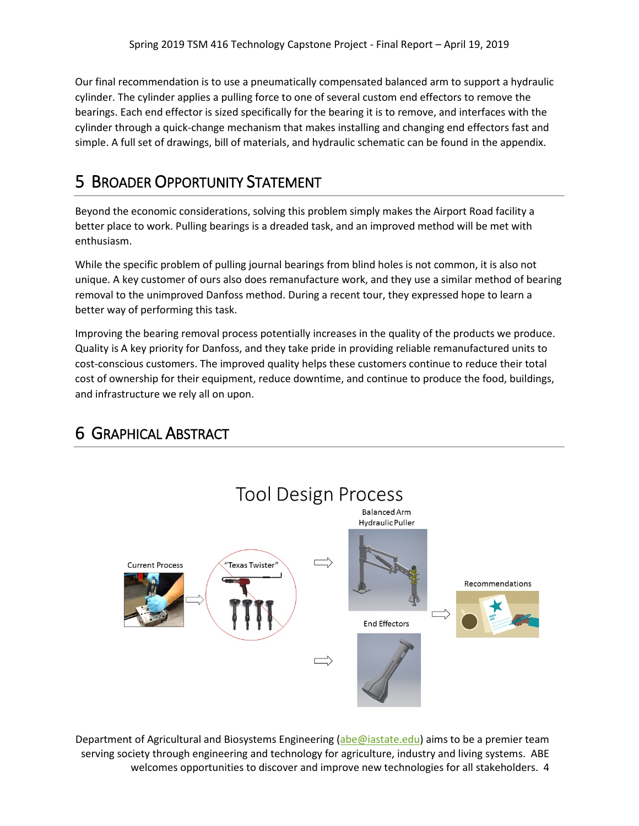Our final recommendation is to use a pneumatically compensated balanced arm to support a hydraulic cylinder. The cylinder applies a pulling force to one of several custom end effectors to remove the bearings. Each end effector is sized specifically for the bearing it is to remove, and interfaces with the cylinder through a quick-change mechanism that makes installing and changing end effectors fast and simple. A full set of drawings, bill of materials, and hydraulic schematic can be found in the appendix.

#### 5 BROADER OPPORTUNITY STATEMENT

Beyond the economic considerations, solving this problem simply makes the Airport Road facility a better place to work. Pulling bearings is a dreaded task, and an improved method will be met with enthusiasm.

While the specific problem of pulling journal bearings from blind holes is not common, it is also not unique. A key customer of ours also does remanufacture work, and they use a similar method of bearing removal to the unimproved Danfoss method. During a recent tour, they expressed hope to learn a better way of performing this task.

Improving the bearing removal process potentially increases in the quality of the products we produce. Quality is A key priority for Danfoss, and they take pride in providing reliable remanufactured units to cost-conscious customers. The improved quality helps these customers continue to reduce their total cost of ownership for their equipment, reduce downtime, and continue to produce the food, buildings, and infrastructure we rely all on upon.



#### 6 GRAPHICAL ABSTRACT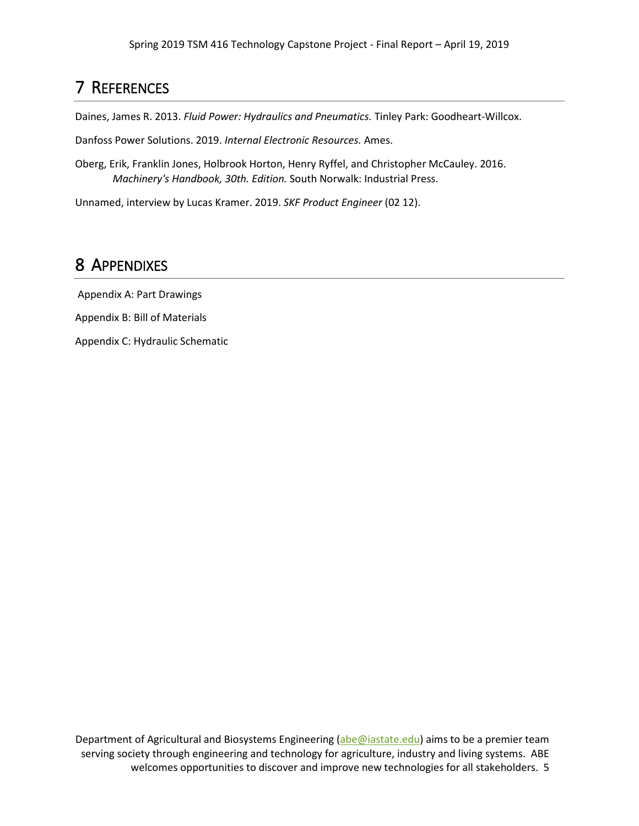#### 7 REFERENCES

Daines, James R. 2013. *Fluid Power: Hydraulics and Pneumatics.* Tinley Park: Goodheart-Willcox.

Danfoss Power Solutions. 2019. *Internal Electronic Resources.* Ames.

Oberg, Erik, Franklin Jones, Holbrook Horton, Henry Ryffel, and Christopher McCauley. 2016. *Machinery's Handbook, 30th. Edition.* South Norwalk: Industrial Press.

Unnamed, interview by Lucas Kramer. 2019. *SKF Product Engineer* (02 12).

#### 8 APPENDIXES

Appendix A: Part Drawings

Appendix B: Bill of Materials

Appendix C: Hydraulic Schematic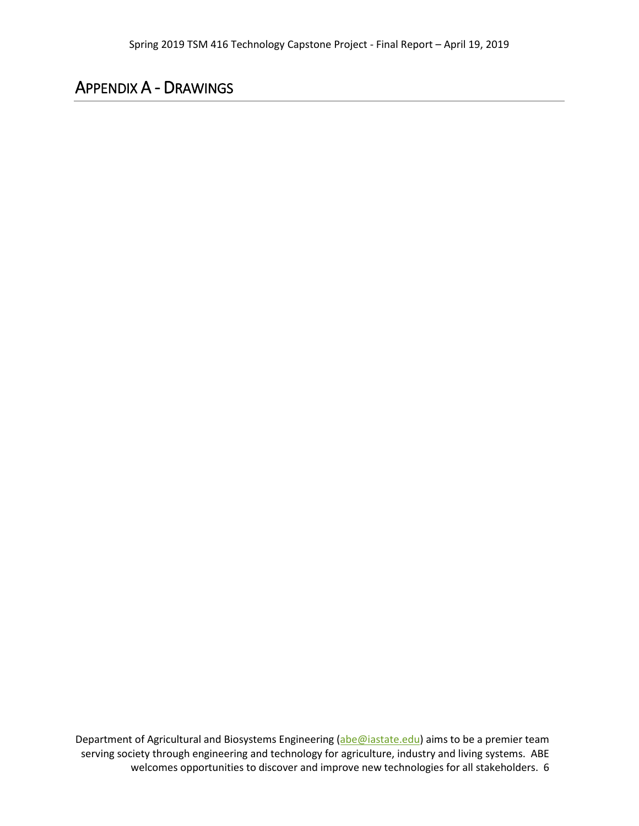#### APPENDIX A - DRAWINGS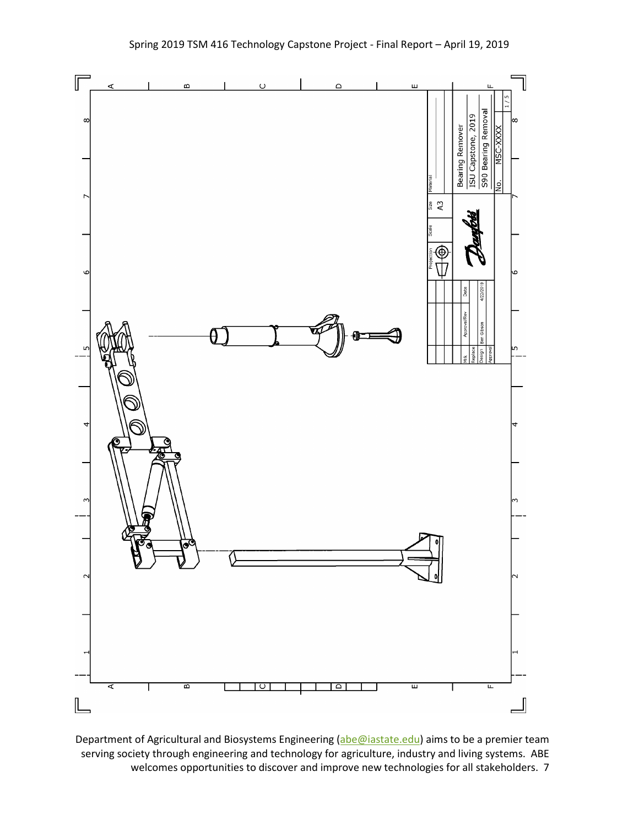

Department of Agricultural and Biosystems Engineering [\(abe@iastate.edu\)](mailto:abe@iastate.edu) aims to be a premier team serving society through engineering and technology for agriculture, industry and living systems. ABE welcomes opportunities to discover and improve new technologies for all stakeholders. 7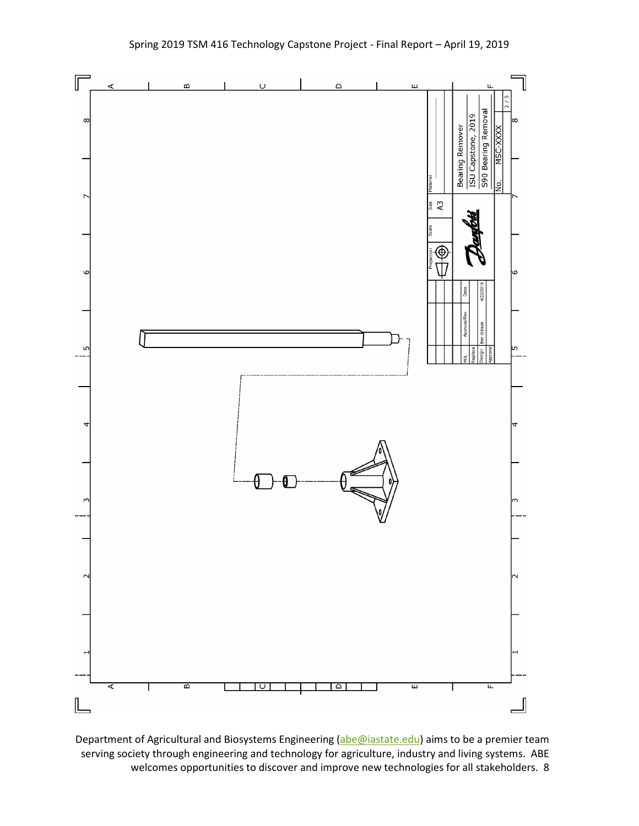

Department of Agricultural and Biosystems Engineering [\(abe@iastate.edu\)](mailto:abe@iastate.edu) aims to be a premier team serving society through engineering and technology for agriculture, industry and living systems. ABE welcomes opportunities to discover and improve new technologies for all stakeholders. 8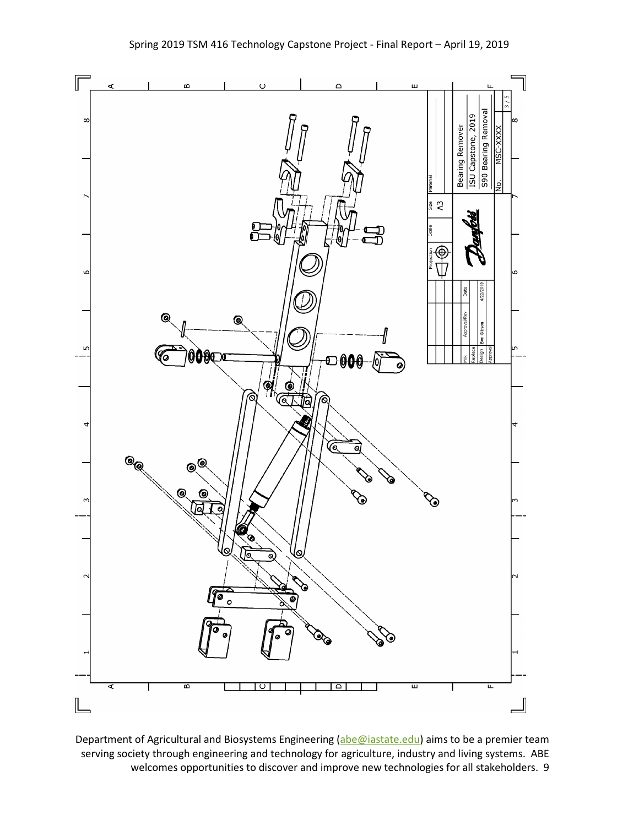

Department of Agricultural and Biosystems Engineering [\(abe@iastate.edu\)](mailto:abe@iastate.edu) aims to be a premier team serving society through engineering and technology for agriculture, industry and living systems. ABE welcomes opportunities to discover and improve new technologies for all stakeholders. 9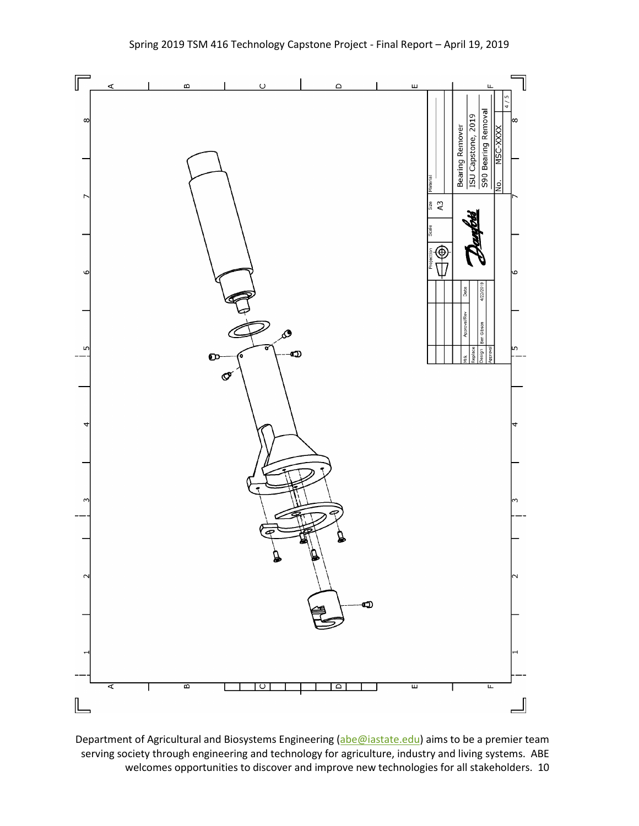

Department of Agricultural and Biosystems Engineering [\(abe@iastate.edu\)](mailto:abe@iastate.edu) aims to be a premier team serving society through engineering and technology for agriculture, industry and living systems. ABE welcomes opportunities to discover and improve new technologies for all stakeholders. 10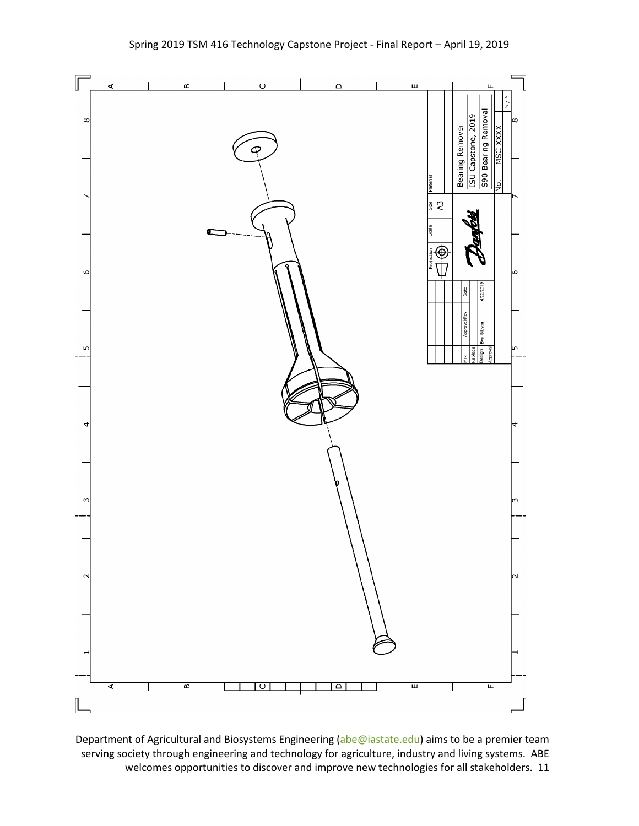

Department of Agricultural and Biosystems Engineering [\(abe@iastate.edu\)](mailto:abe@iastate.edu) aims to be a premier team serving society through engineering and technology for agriculture, industry and living systems. ABE welcomes opportunities to discover and improve new technologies for all stakeholders. 11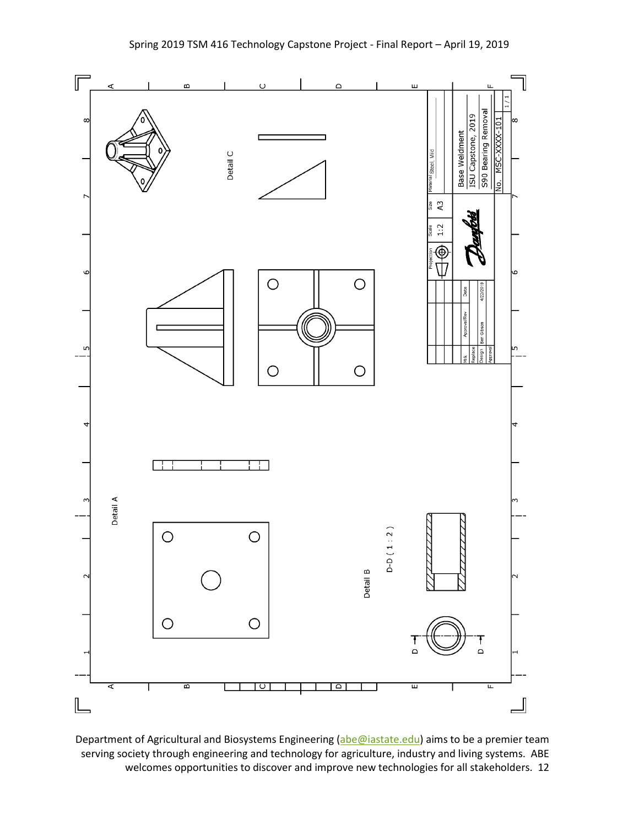

Department of Agricultural and Biosystems Engineering [\(abe@iastate.edu\)](mailto:abe@iastate.edu) aims to be a premier team serving society through engineering and technology for agriculture, industry and living systems. ABE welcomes opportunities to discover and improve new technologies for all stakeholders. 12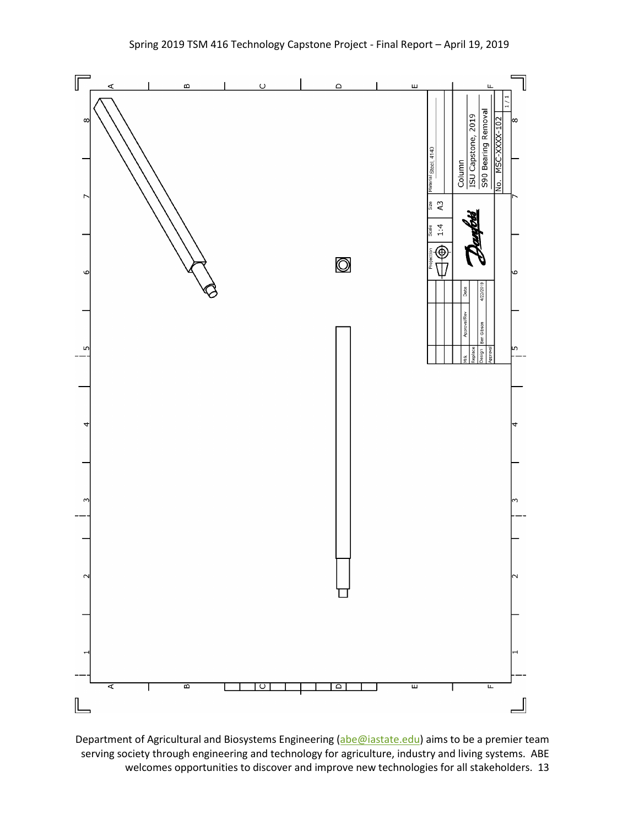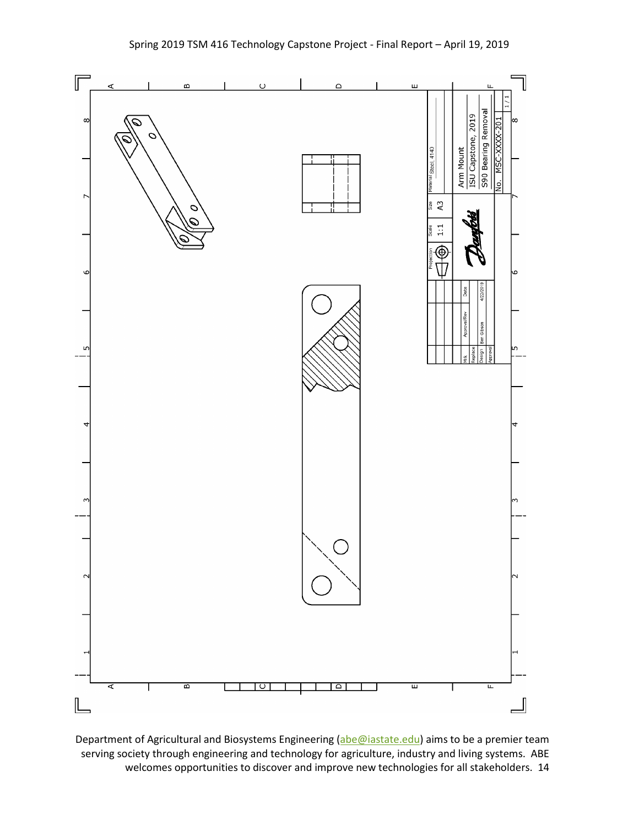

Department of Agricultural and Biosystems Engineering [\(abe@iastate.edu\)](mailto:abe@iastate.edu) aims to be a premier team serving society through engineering and technology for agriculture, industry and living systems. ABE welcomes opportunities to discover and improve new technologies for all stakeholders. 14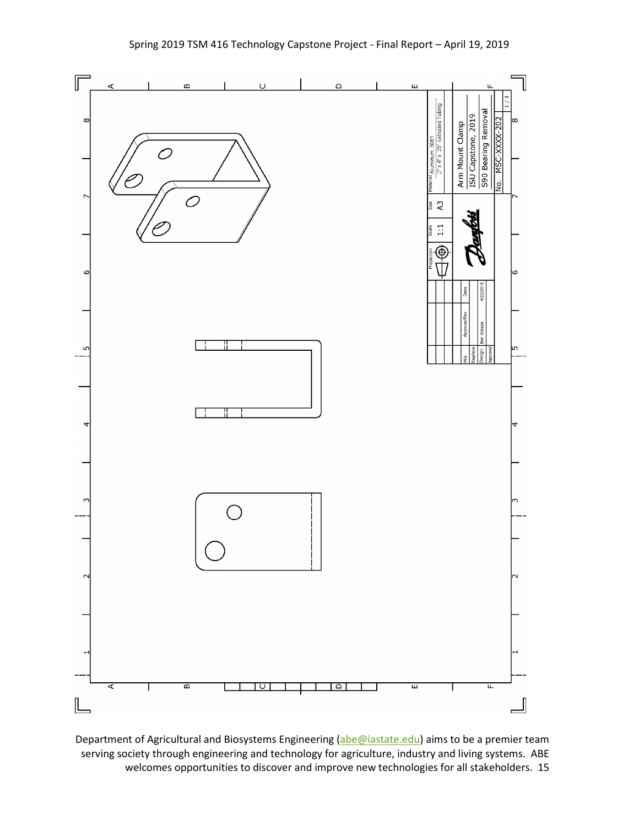

Department of Agricultural and Biosystems Engineering [\(abe@iastate.edu\)](mailto:abe@iastate.edu) aims to be a premier team serving society through engineering and technology for agriculture, industry and living systems. ABE welcomes opportunities to discover and improve new technologies for all stakeholders. 15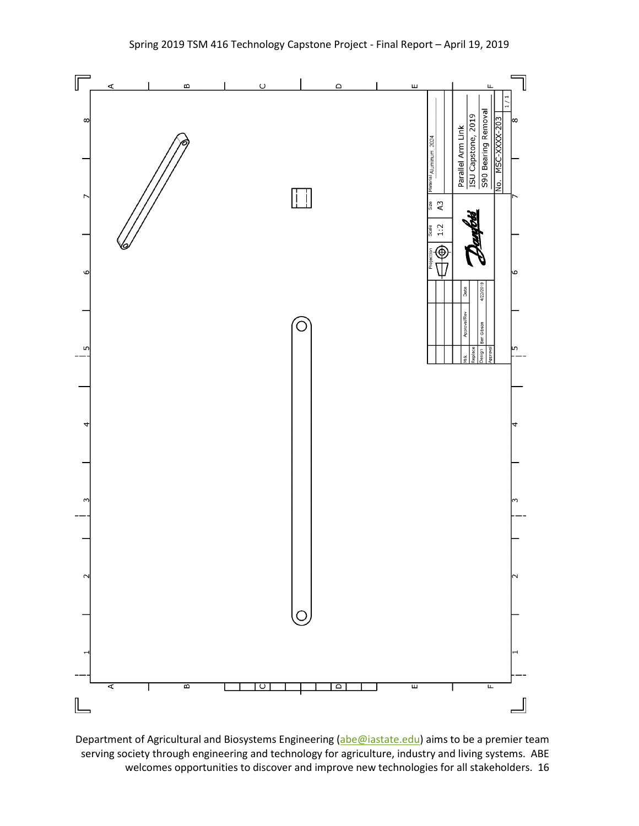

Department of Agricultural and Biosystems Engineering [\(abe@iastate.edu\)](mailto:abe@iastate.edu) aims to be a premier team serving society through engineering and technology for agriculture, industry and living systems. ABE welcomes opportunities to discover and improve new technologies for all stakeholders. 16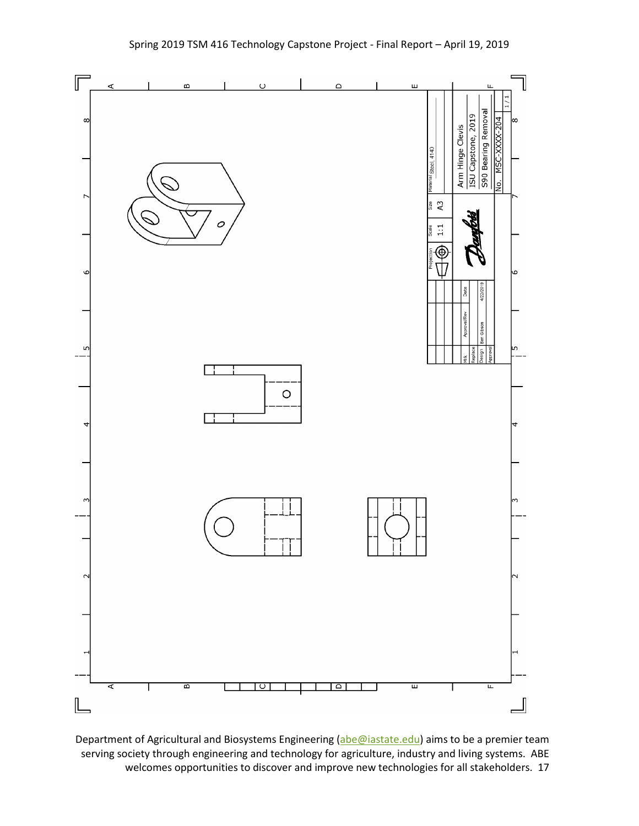

Department of Agricultural and Biosystems Engineering [\(abe@iastate.edu\)](mailto:abe@iastate.edu) aims to be a premier team serving society through engineering and technology for agriculture, industry and living systems. ABE welcomes opportunities to discover and improve new technologies for all stakeholders. 17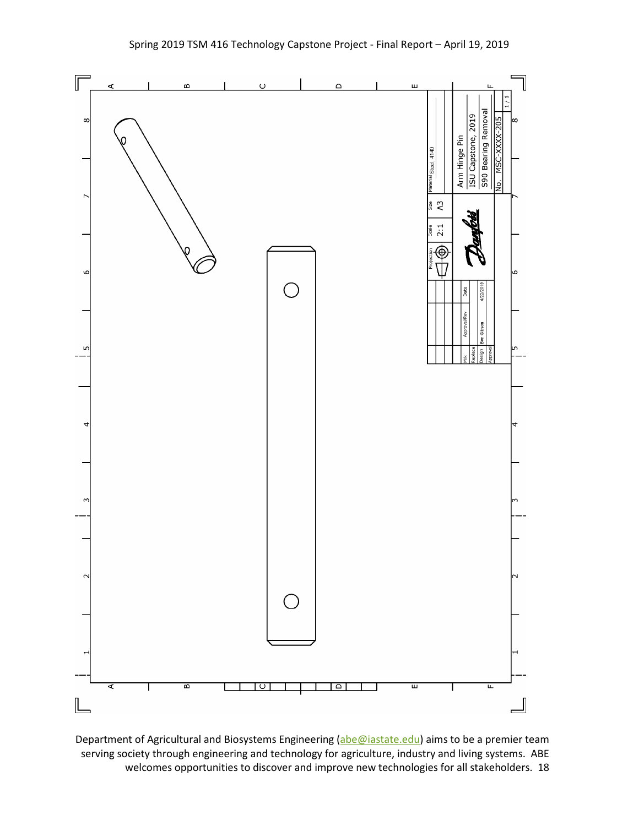

Department of Agricultural and Biosystems Engineering [\(abe@iastate.edu\)](mailto:abe@iastate.edu) aims to be a premier team serving society through engineering and technology for agriculture, industry and living systems. ABE welcomes opportunities to discover and improve new technologies for all stakeholders. 18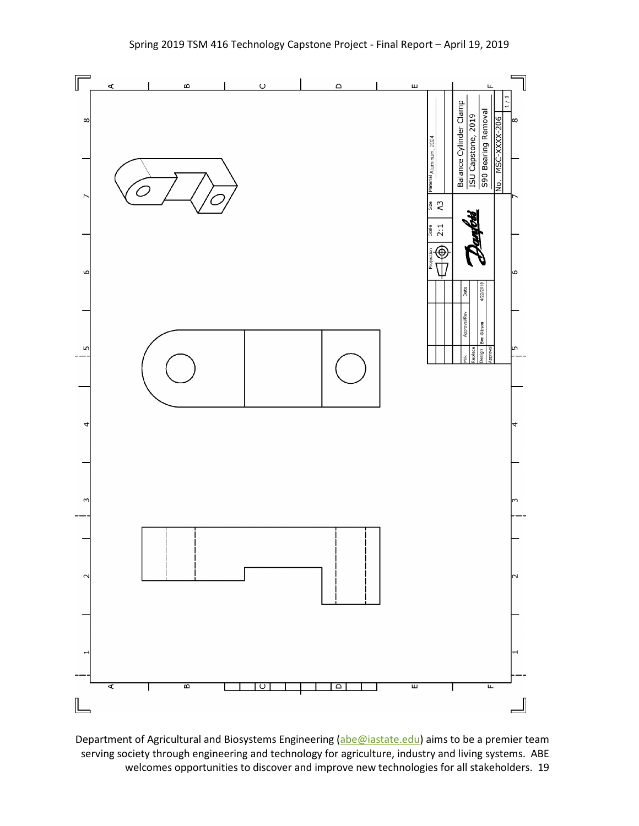

Department of Agricultural and Biosystems Engineering [\(abe@iastate.edu\)](mailto:abe@iastate.edu) aims to be a premier team serving society through engineering and technology for agriculture, industry and living systems. ABE welcomes opportunities to discover and improve new technologies for all stakeholders. 19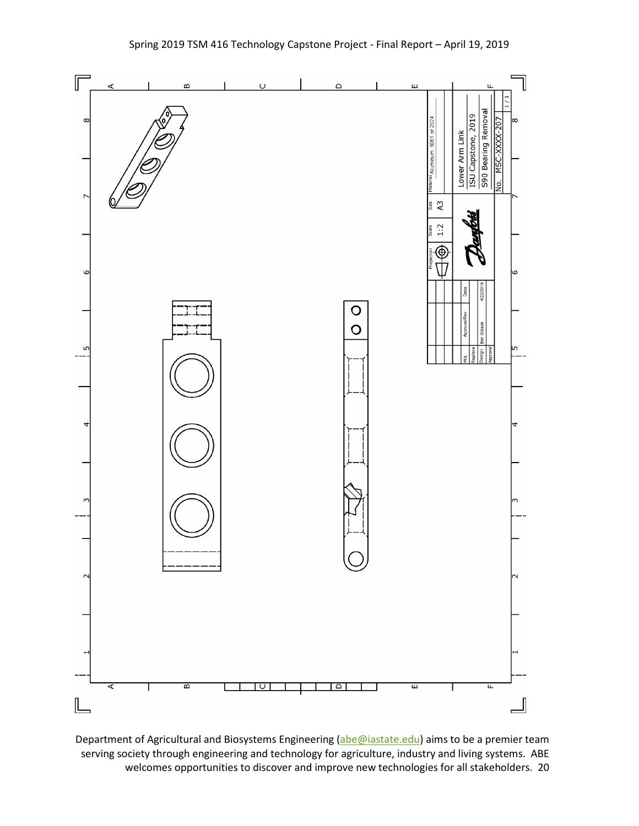

Department of Agricultural and Biosystems Engineering [\(abe@iastate.edu\)](mailto:abe@iastate.edu) aims to be a premier team serving society through engineering and technology for agriculture, industry and living systems. ABE welcomes opportunities to discover and improve new technologies for all stakeholders. 20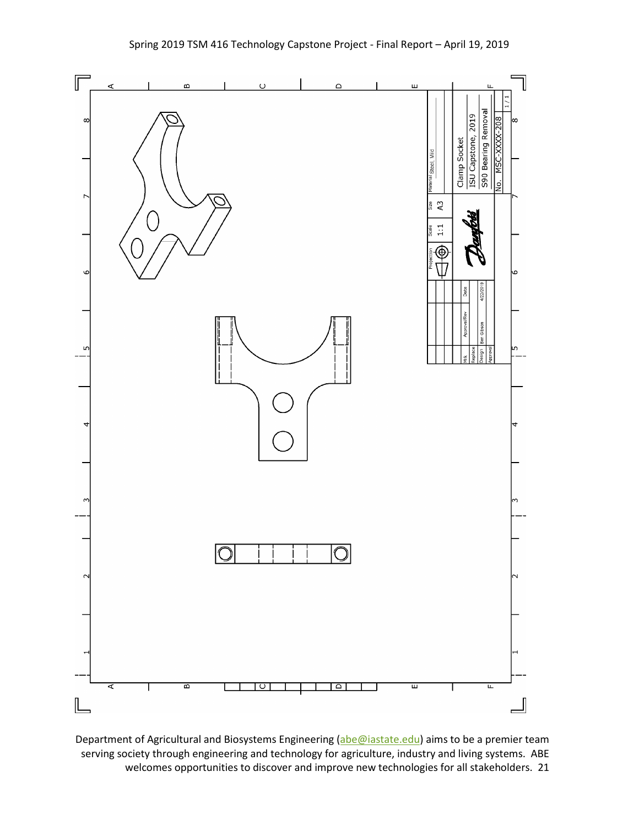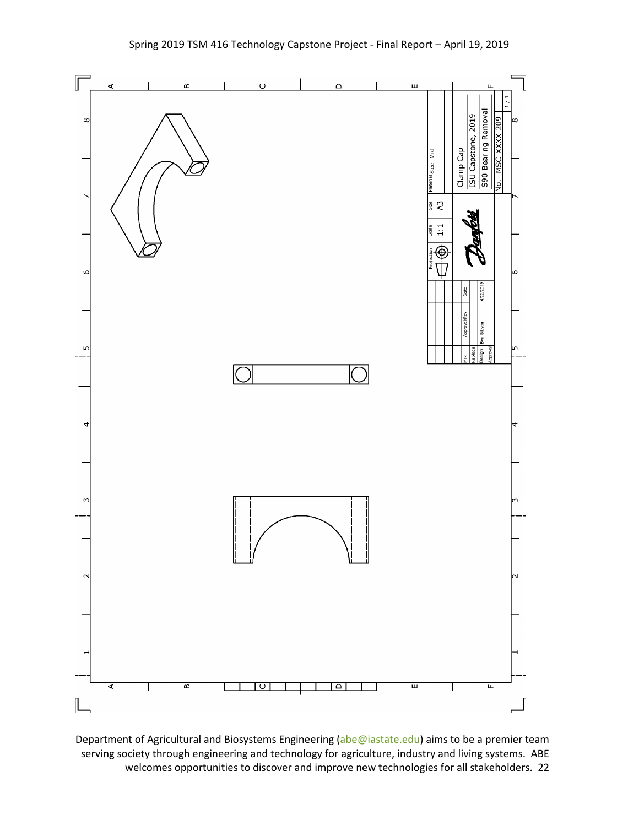

Department of Agricultural and Biosystems Engineering [\(abe@iastate.edu\)](mailto:abe@iastate.edu) aims to be a premier team serving society through engineering and technology for agriculture, industry and living systems. ABE welcomes opportunities to discover and improve new technologies for all stakeholders. 22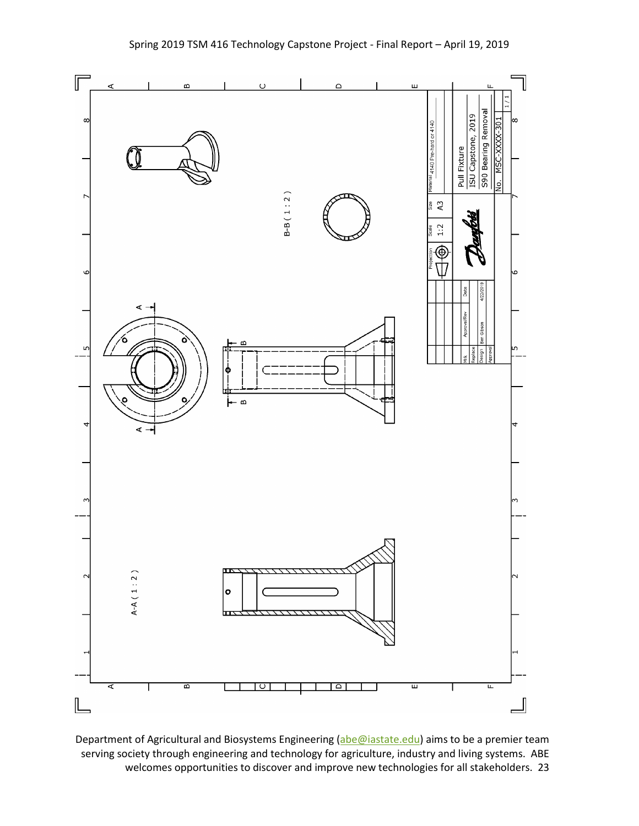

Department of Agricultural and Biosystems Engineering [\(abe@iastate.edu\)](mailto:abe@iastate.edu) aims to be a premier team serving society through engineering and technology for agriculture, industry and living systems. ABE welcomes opportunities to discover and improve new technologies for all stakeholders. 23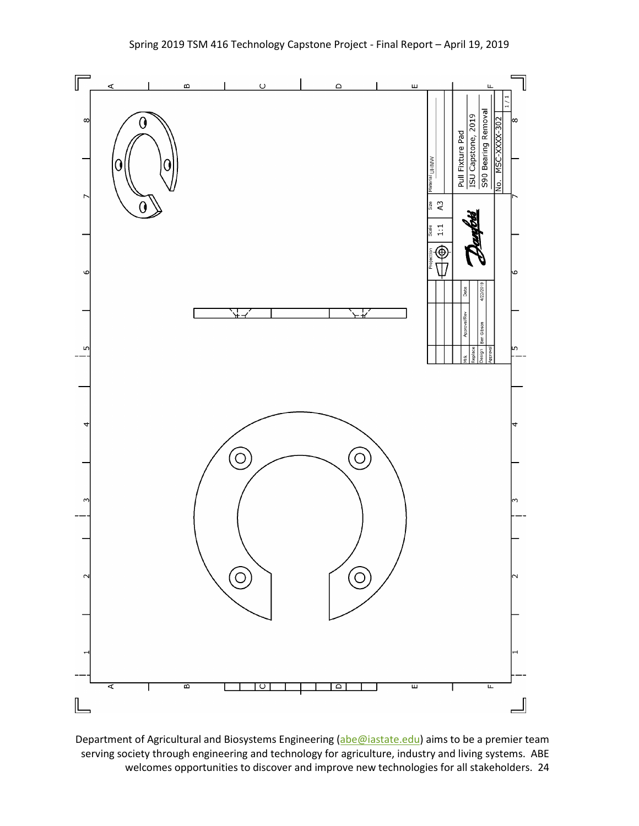

Department of Agricultural and Biosystems Engineering [\(abe@iastate.edu\)](mailto:abe@iastate.edu) aims to be a premier team serving society through engineering and technology for agriculture, industry and living systems. ABE welcomes opportunities to discover and improve new technologies for all stakeholders. 24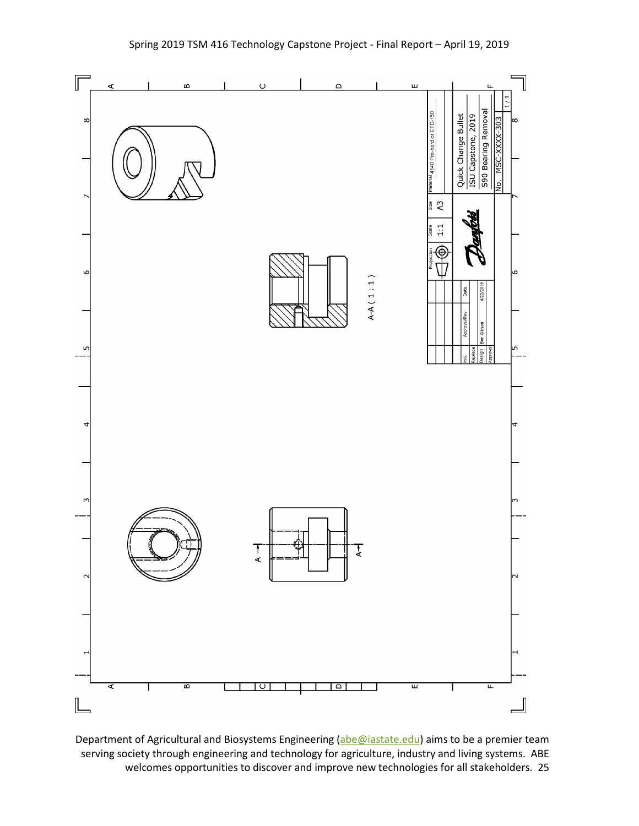

Department of Agricultural and Biosystems Engineering [\(abe@iastate.edu\)](mailto:abe@iastate.edu) aims to be a premier team serving society through engineering and technology for agriculture, industry and living systems. ABE welcomes opportunities to discover and improve new technologies for all stakeholders. 25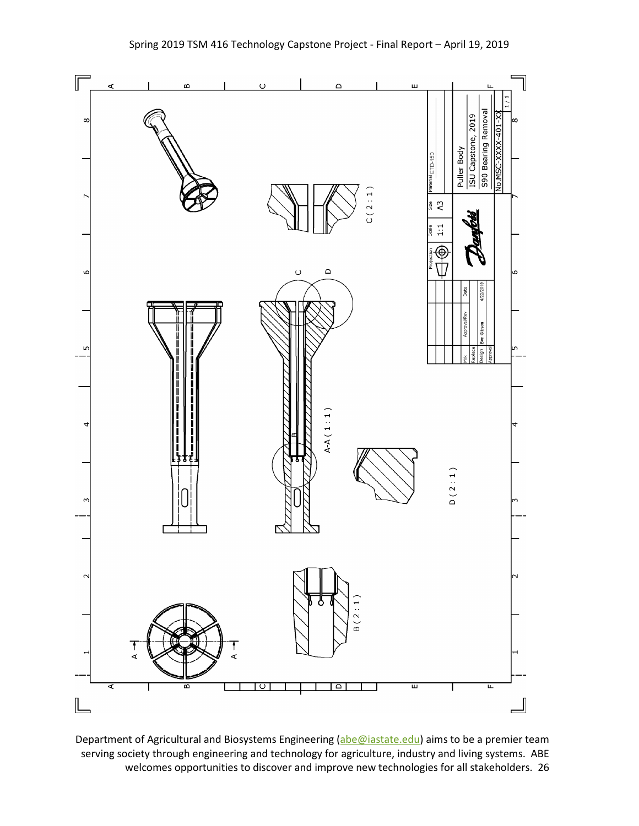

Department of Agricultural and Biosystems Engineering [\(abe@iastate.edu\)](mailto:abe@iastate.edu) aims to be a premier team serving society through engineering and technology for agriculture, industry and living systems. ABE welcomes opportunities to discover and improve new technologies for all stakeholders. 26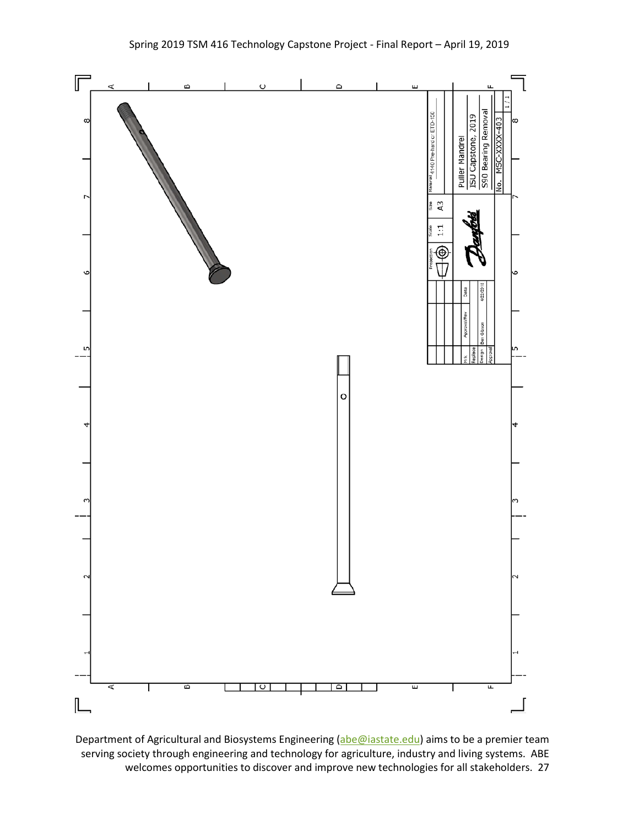

Department of Agricultural and Biosystems Engineering [\(abe@iastate.edu\)](mailto:abe@iastate.edu) aims to be a premier team serving society through engineering and technology for agriculture, industry and living systems. ABE welcomes opportunities to discover and improve new technologies for all stakeholders. 27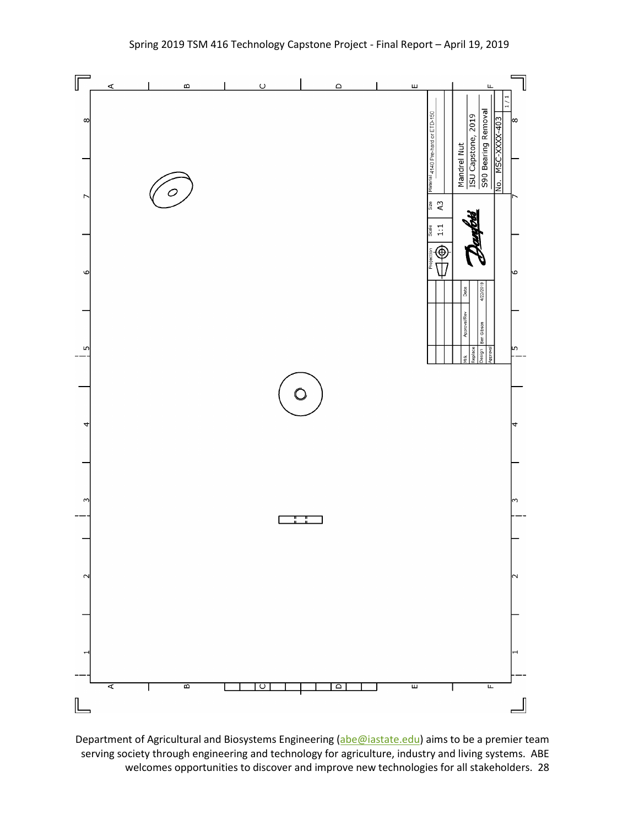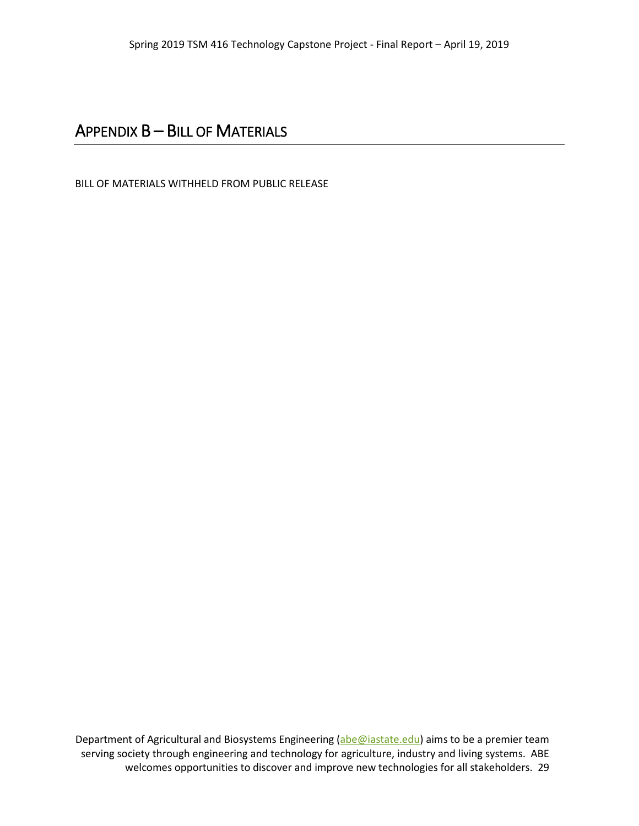#### APPENDIX B – BILL OF MATERIALS

BILL OF MATERIALS WITHHELD FROM PUBLIC RELEASE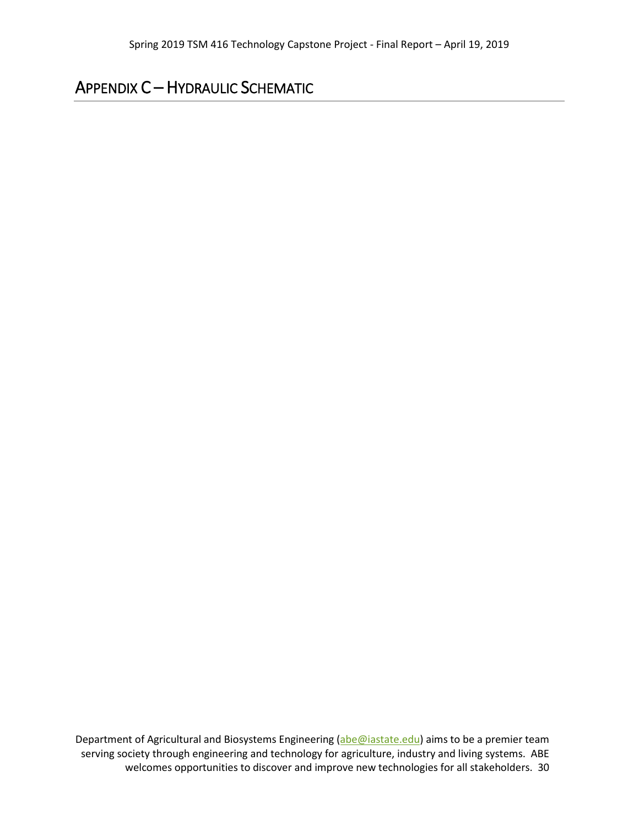### APPENDIX C – HYDRAULIC SCHEMATIC